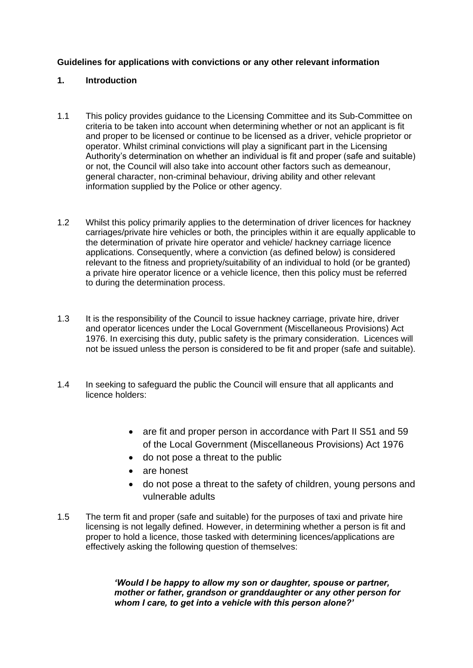# **Guidelines for applications with convictions or any other relevant information**

### **1. Introduction**

- 1.1 This policy provides guidance to the Licensing Committee and its Sub-Committee on criteria to be taken into account when determining whether or not an applicant is fit and proper to be licensed or continue to be licensed as a driver, vehicle proprietor or operator. Whilst criminal convictions will play a significant part in the Licensing Authority's determination on whether an individual is fit and proper (safe and suitable) or not, the Council will also take into account other factors such as demeanour, general character, non-criminal behaviour, driving ability and other relevant information supplied by the Police or other agency.
- 1.2 Whilst this policy primarily applies to the determination of driver licences for hackney carriages/private hire vehicles or both, the principles within it are equally applicable to the determination of private hire operator and vehicle/ hackney carriage licence applications. Consequently, where a conviction (as defined below) is considered relevant to the fitness and propriety/suitability of an individual to hold (or be granted) a private hire operator licence or a vehicle licence, then this policy must be referred to during the determination process.
- 1.3 It is the responsibility of the Council to issue hackney carriage, private hire, driver and operator licences under the Local Government (Miscellaneous Provisions) Act 1976. In exercising this duty, public safety is the primary consideration. Licences will not be issued unless the person is considered to be fit and proper (safe and suitable).
- 1.4 In seeking to safeguard the public the Council will ensure that all applicants and licence holders:
	- are fit and proper person in accordance with Part II S51 and 59 of the Local Government (Miscellaneous Provisions) Act 1976
	- do not pose a threat to the public
	- are honest
	- do not pose a threat to the safety of children, young persons and vulnerable adults
- 1.5 The term fit and proper (safe and suitable) for the purposes of taxi and private hire licensing is not legally defined. However, in determining whether a person is fit and proper to hold a licence, those tasked with determining licences/applications are effectively asking the following question of themselves:

*'Would I be happy to allow my son or daughter, spouse or partner, mother or father, grandson or granddaughter or any other person for whom I care, to get into a vehicle with this person alone?'*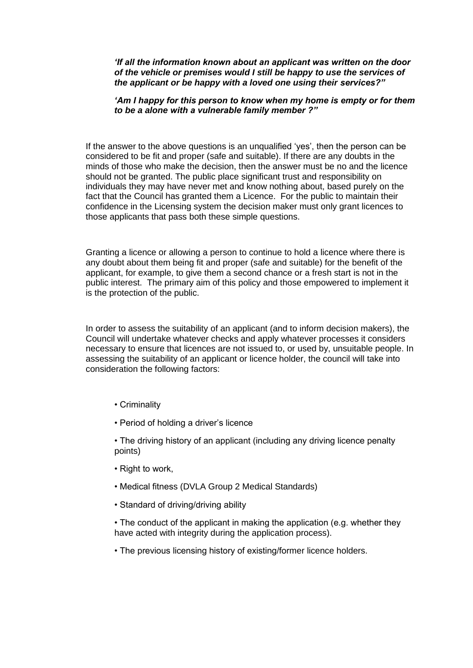*'If all the information known about an applicant was written on the door of the vehicle or premises would I still be happy to use the services of the applicant or be happy with a loved one using their services?"*

#### *'Am I happy for this person to know when my home is empty or for them to be a alone with a vulnerable family member ?"*

If the answer to the above questions is an unqualified 'yes', then the person can be considered to be fit and proper (safe and suitable). If there are any doubts in the minds of those who make the decision, then the answer must be no and the licence should not be granted. The public place significant trust and responsibility on individuals they may have never met and know nothing about, based purely on the fact that the Council has granted them a Licence. For the public to maintain their confidence in the Licensing system the decision maker must only grant licences to those applicants that pass both these simple questions.

Granting a licence or allowing a person to continue to hold a licence where there is any doubt about them being fit and proper (safe and suitable) for the benefit of the applicant, for example, to give them a second chance or a fresh start is not in the public interest. The primary aim of this policy and those empowered to implement it is the protection of the public.

In order to assess the suitability of an applicant (and to inform decision makers), the Council will undertake whatever checks and apply whatever processes it considers necessary to ensure that licences are not issued to, or used by, unsuitable people. In assessing the suitability of an applicant or licence holder, the council will take into consideration the following factors:

- Criminality
- Period of holding a driver's licence

• The driving history of an applicant (including any driving licence penalty points)

- Right to work,
- Medical fitness (DVLA Group 2 Medical Standards)
- Standard of driving/driving ability

• The conduct of the applicant in making the application (e.g. whether they have acted with integrity during the application process).

• The previous licensing history of existing/former licence holders.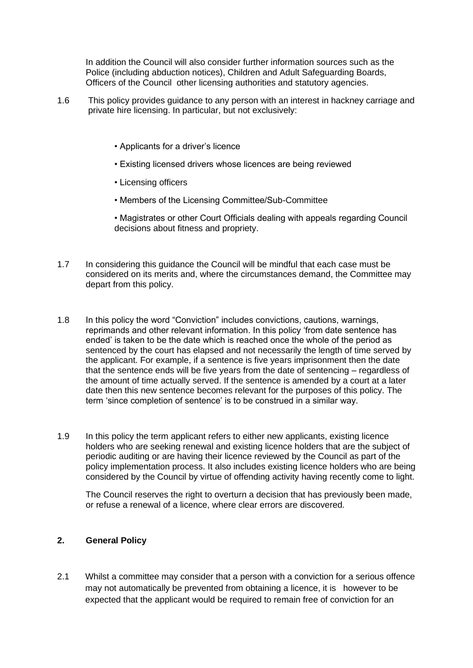In addition the Council will also consider further information sources such as the Police (including abduction notices), Children and Adult Safeguarding Boards, Officers of the Council other licensing authorities and statutory agencies.

- 1.6 This policy provides guidance to any person with an interest in hackney carriage and private hire licensing. In particular, but not exclusively:
	- Applicants for a driver's licence
	- Existing licensed drivers whose licences are being reviewed
	- Licensing officers
	- Members of the Licensing Committee/Sub-Committee
	- Magistrates or other Court Officials dealing with appeals regarding Council decisions about fitness and propriety.
- 1.7 In considering this guidance the Council will be mindful that each case must be considered on its merits and, where the circumstances demand, the Committee may depart from this policy.
- 1.8 In this policy the word "Conviction" includes convictions, cautions, warnings, reprimands and other relevant information. In this policy 'from date sentence has ended' is taken to be the date which is reached once the whole of the period as sentenced by the court has elapsed and not necessarily the length of time served by the applicant. For example, if a sentence is five years imprisonment then the date that the sentence ends will be five years from the date of sentencing – regardless of the amount of time actually served. If the sentence is amended by a court at a later date then this new sentence becomes relevant for the purposes of this policy. The term 'since completion of sentence' is to be construed in a similar way.
- 1.9 In this policy the term applicant refers to either new applicants, existing licence holders who are seeking renewal and existing licence holders that are the subject of periodic auditing or are having their licence reviewed by the Council as part of the policy implementation process. It also includes existing licence holders who are being considered by the Council by virtue of offending activity having recently come to light.

The Council reserves the right to overturn a decision that has previously been made, or refuse a renewal of a licence, where clear errors are discovered.

## **2. General Policy**

2.1 Whilst a committee may consider that a person with a conviction for a serious offence may not automatically be prevented from obtaining a licence, it is however to be expected that the applicant would be required to remain free of conviction for an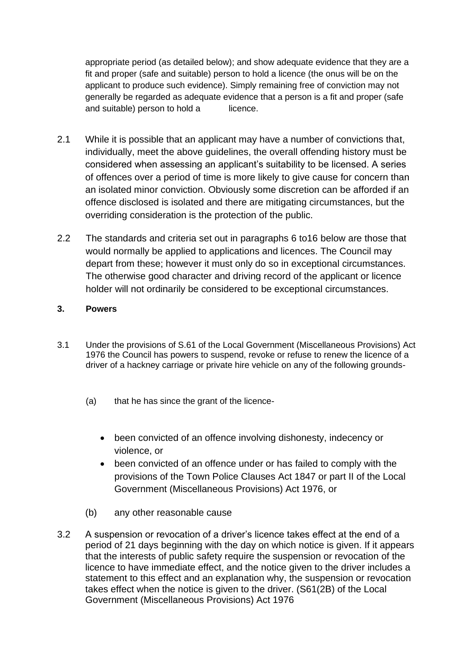appropriate period (as detailed below); and show adequate evidence that they are a fit and proper (safe and suitable) person to hold a licence (the onus will be on the applicant to produce such evidence). Simply remaining free of conviction may not generally be regarded as adequate evidence that a person is a fit and proper (safe and suitable) person to hold a licence.

- 2.1 While it is possible that an applicant may have a number of convictions that, individually, meet the above guidelines, the overall offending history must be considered when assessing an applicant's suitability to be licensed. A series of offences over a period of time is more likely to give cause for concern than an isolated minor conviction. Obviously some discretion can be afforded if an offence disclosed is isolated and there are mitigating circumstances, but the overriding consideration is the protection of the public.
- 2.2 The standards and criteria set out in paragraphs 6 to16 below are those that would normally be applied to applications and licences. The Council may depart from these; however it must only do so in exceptional circumstances. The otherwise good character and driving record of the applicant or licence holder will not ordinarily be considered to be exceptional circumstances.

## **3. Powers**

- 3.1 Under the provisions of S.61 of the Local Government (Miscellaneous Provisions) Act 1976 the Council has powers to suspend, revoke or refuse to renew the licence of a driver of a hackney carriage or private hire vehicle on any of the following grounds-
	- (a) that he has since the grant of the licence-
		- been convicted of an offence involving dishonesty, indecency or violence, or
		- been convicted of an offence under or has failed to comply with the provisions of the Town Police Clauses Act 1847 or part II of the Local Government (Miscellaneous Provisions) Act 1976, or
	- (b) any other reasonable cause
- 3.2 A suspension or revocation of a driver's licence takes effect at the end of a period of 21 days beginning with the day on which notice is given. If it appears that the interests of public safety require the suspension or revocation of the licence to have immediate effect, and the notice given to the driver includes a statement to this effect and an explanation why, the suspension or revocation takes effect when the notice is given to the driver. (S61(2B) of the Local Government (Miscellaneous Provisions) Act 1976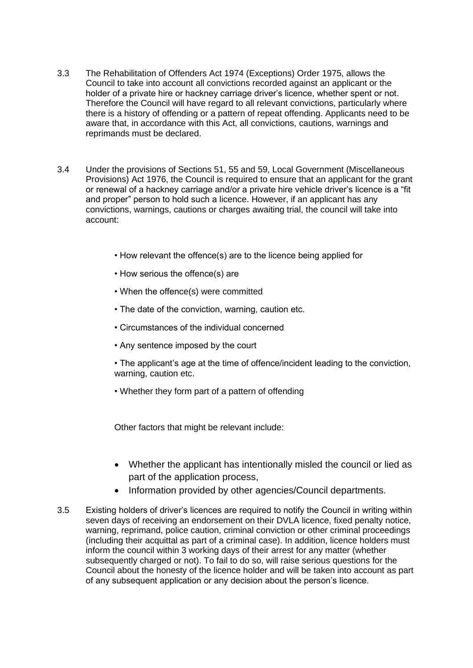- 3.3 The Rehabilitation of Offenders Act 1974 (Exceptions) Order 1975, allows the Council to take into account all convictions recorded against an applicant or the holder of a private hire or hackney carriage driver's licence, whether spent or not. Therefore the Council will have regard to all relevant convictions, particularly where there is a history of offending or a pattern of repeat offending. Applicants need to be aware that, in accordance with this Act, all convictions, cautions, warnings and reprimands must be declared.
- 3.4 Under the provisions of Sections 51, 55 and 59, Local Government (Miscellaneous Provisions) Act 1976, the Council is required to ensure that an applicant for the grant or renewal of a hackney carriage and/or a private hire vehicle driver's licence is a "fit and proper" person to hold such a licence. However, if an applicant has any convictions, warnings, cautions or charges awaiting trial, the council will take into account:
	- How relevant the offence(s) are to the licence being applied for
	- How serious the offence(s) are
	- When the offence(s) were committed
	- The date of the conviction, warning, caution etc.
	- Circumstances of the individual concerned
	- Any sentence imposed by the court
	- The applicant's age at the time of offence/incident leading to the conviction, warning, caution etc.
	- Whether they form part of a pattern of offending

Other factors that might be relevant include:

- Whether the applicant has intentionally misled the council or lied as part of the application process,
- Information provided by other agencies/Council departments.
- 3.5 Existing holders of driver's licences are required to notify the Council in writing within seven days of receiving an endorsement on their DVLA licence, fixed penalty notice, warning, reprimand, police caution, criminal conviction or other criminal proceedings (including their acquittal as part of a criminal case). In addition, licence holders must inform the council within 3 working days of their arrest for any matter (whether subsequently charged or not). To fail to do so, will raise serious questions for the Council about the honesty of the licence holder and will be taken into account as part of any subsequent application or any decision about the person's licence.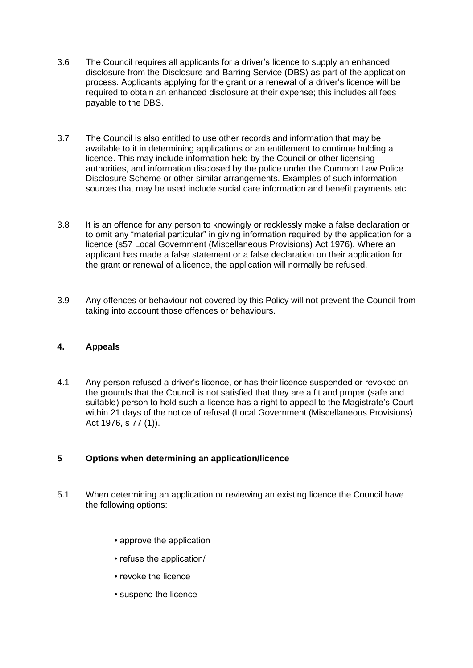- 3.6 The Council requires all applicants for a driver's licence to supply an enhanced disclosure from the Disclosure and Barring Service (DBS) as part of the application process. Applicants applying for the grant or a renewal of a driver's licence will be required to obtain an enhanced disclosure at their expense; this includes all fees payable to the DBS.
- 3.7 The Council is also entitled to use other records and information that may be available to it in determining applications or an entitlement to continue holding a licence. This may include information held by the Council or other licensing authorities, and information disclosed by the police under the Common Law Police Disclosure Scheme or other similar arrangements. Examples of such information sources that may be used include social care information and benefit payments etc.
- 3.8 It is an offence for any person to knowingly or recklessly make a false declaration or to omit any "material particular" in giving information required by the application for a licence (s57 Local Government (Miscellaneous Provisions) Act 1976). Where an applicant has made a false statement or a false declaration on their application for the grant or renewal of a licence, the application will normally be refused.
- 3.9 Any offences or behaviour not covered by this Policy will not prevent the Council from taking into account those offences or behaviours.

### **4. Appeals**

4.1 Any person refused a driver's licence, or has their licence suspended or revoked on the grounds that the Council is not satisfied that they are a fit and proper (safe and suitable) person to hold such a licence has a right to appeal to the Magistrate's Court within 21 days of the notice of refusal (Local Government (Miscellaneous Provisions) Act 1976, s 77 (1)).

# **5 Options when determining an application/licence**

- 5.1 When determining an application or reviewing an existing licence the Council have the following options:
	- approve the application
	- refuse the application/
	- revoke the licence
	- suspend the licence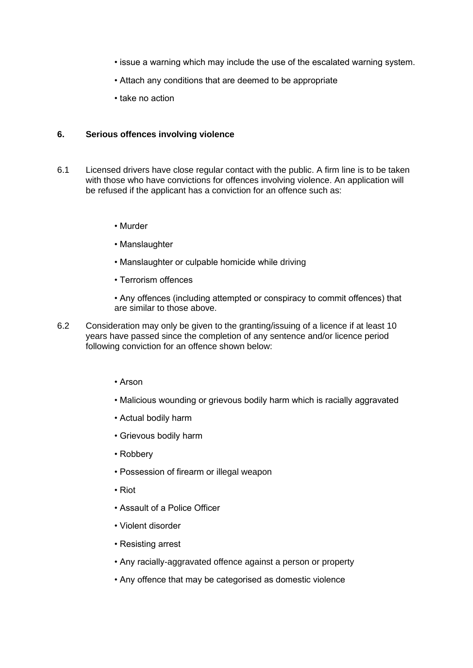- issue a warning which may include the use of the escalated warning system.
- Attach any conditions that are deemed to be appropriate
- take no action

#### **6. Serious offences involving violence**

- 6.1 Licensed drivers have close regular contact with the public. A firm line is to be taken with those who have convictions for offences involving violence. An application will be refused if the applicant has a conviction for an offence such as:
	- Murder
	- Manslaughter
	- Manslaughter or culpable homicide while driving
	- Terrorism offences
	- Any offences (including attempted or conspiracy to commit offences) that are similar to those above.
- 6.2 Consideration may only be given to the granting/issuing of a licence if at least 10 years have passed since the completion of any sentence and/or licence period following conviction for an offence shown below:
	- Arson
	- Malicious wounding or grievous bodily harm which is racially aggravated
	- Actual bodily harm
	- Grievous bodily harm
	- Robbery
	- Possession of firearm or illegal weapon
	- Riot
	- Assault of a Police Officer
	- Violent disorder
	- Resisting arrest
	- Any racially-aggravated offence against a person or property
	- Any offence that may be categorised as domestic violence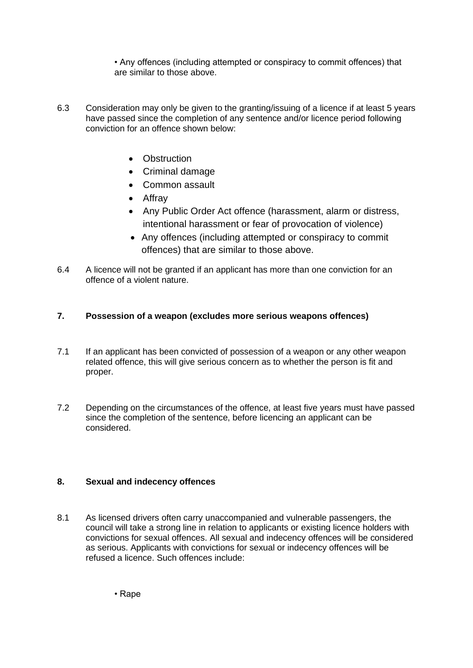• Any offences (including attempted or conspiracy to commit offences) that are similar to those above.

- 6.3 Consideration may only be given to the granting/issuing of a licence if at least 5 years have passed since the completion of any sentence and/or licence period following conviction for an offence shown below:
	- Obstruction
	- Criminal damage
	- Common assault
	- Affray
	- Any Public Order Act offence (harassment, alarm or distress, intentional harassment or fear of provocation of violence)
	- Any offences (including attempted or conspiracy to commit offences) that are similar to those above.
- 6.4 A licence will not be granted if an applicant has more than one conviction for an offence of a violent nature.

# **7. Possession of a weapon (excludes more serious weapons offences)**

- 7.1 If an applicant has been convicted of possession of a weapon or any other weapon related offence, this will give serious concern as to whether the person is fit and proper.
- 7.2 Depending on the circumstances of the offence, at least five years must have passed since the completion of the sentence, before licencing an applicant can be considered.

# **8. Sexual and indecency offences**

8.1 As licensed drivers often carry unaccompanied and vulnerable passengers, the council will take a strong line in relation to applicants or existing licence holders with convictions for sexual offences. All sexual and indecency offences will be considered as serious. Applicants with convictions for sexual or indecency offences will be refused a licence. Such offences include: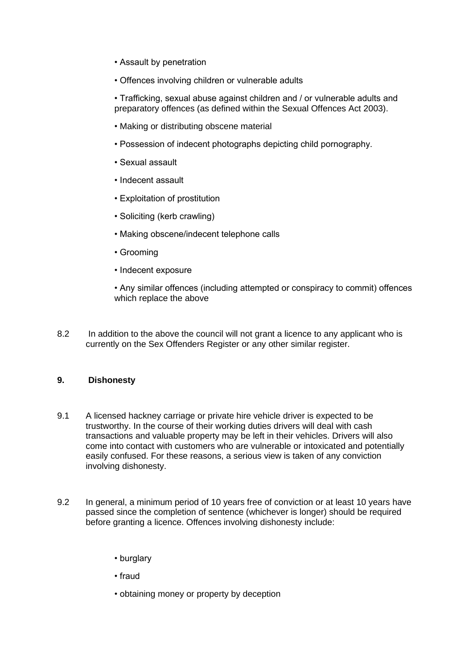- Assault by penetration
- Offences involving children or vulnerable adults

• Trafficking, sexual abuse against children and / or vulnerable adults and preparatory offences (as defined within the Sexual Offences Act 2003).

- Making or distributing obscene material
- Possession of indecent photographs depicting child pornography.
- Sexual assault
- Indecent assault
- Exploitation of prostitution
- Soliciting (kerb crawling)
- Making obscene/indecent telephone calls
- Grooming
- Indecent exposure

• Any similar offences (including attempted or conspiracy to commit) offences which replace the above

8.2 In addition to the above the council will not grant a licence to any applicant who is currently on the Sex Offenders Register or any other similar register.

# **9. Dishonesty**

- 9.1 A licensed hackney carriage or private hire vehicle driver is expected to be trustworthy. In the course of their working duties drivers will deal with cash transactions and valuable property may be left in their vehicles. Drivers will also come into contact with customers who are vulnerable or intoxicated and potentially easily confused. For these reasons, a serious view is taken of any conviction involving dishonesty.
- 9.2 In general, a minimum period of 10 years free of conviction or at least 10 years have passed since the completion of sentence (whichever is longer) should be required before granting a licence. Offences involving dishonesty include:
	- burglary
	- fraud
	- obtaining money or property by deception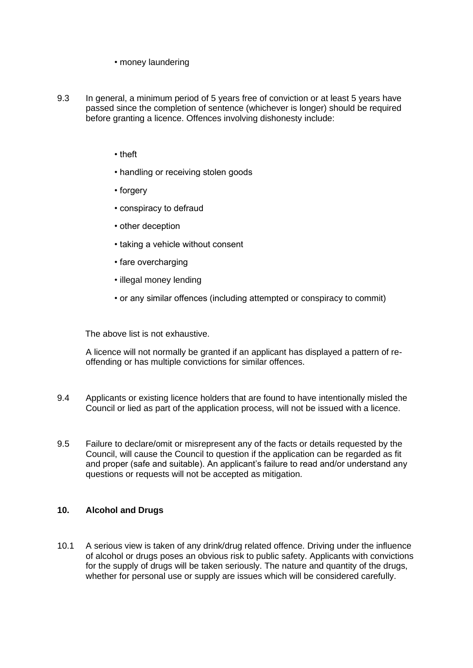• money laundering

- 9.3 In general, a minimum period of 5 years free of conviction or at least 5 years have passed since the completion of sentence (whichever is longer) should be required before granting a licence. Offences involving dishonesty include:
	- theft
	- handling or receiving stolen goods
	- forgery
	- conspiracy to defraud
	- other deception
	- taking a vehicle without consent
	- fare overcharging
	- illegal money lending
	- or any similar offences (including attempted or conspiracy to commit)

The above list is not exhaustive.

A licence will not normally be granted if an applicant has displayed a pattern of reoffending or has multiple convictions for similar offences.

- 9.4 Applicants or existing licence holders that are found to have intentionally misled the Council or lied as part of the application process, will not be issued with a licence.
- 9.5 Failure to declare/omit or misrepresent any of the facts or details requested by the Council, will cause the Council to question if the application can be regarded as fit and proper (safe and suitable). An applicant's failure to read and/or understand any questions or requests will not be accepted as mitigation.

#### **10. Alcohol and Drugs**

10.1 A serious view is taken of any drink/drug related offence. Driving under the influence of alcohol or drugs poses an obvious risk to public safety. Applicants with convictions for the supply of drugs will be taken seriously. The nature and quantity of the drugs, whether for personal use or supply are issues which will be considered carefully.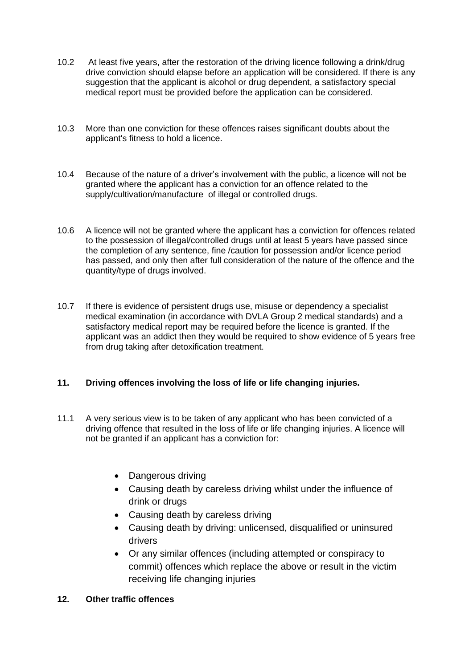- 10.2 At least five years, after the restoration of the driving licence following a drink/drug drive conviction should elapse before an application will be considered. If there is any suggestion that the applicant is alcohol or drug dependent, a satisfactory special medical report must be provided before the application can be considered.
- 10.3 More than one conviction for these offences raises significant doubts about the applicant's fitness to hold a licence.
- 10.4 Because of the nature of a driver's involvement with the public, a licence will not be granted where the applicant has a conviction for an offence related to the supply/cultivation/manufacture of illegal or controlled drugs.
- 10.6 A licence will not be granted where the applicant has a conviction for offences related to the possession of illegal/controlled drugs until at least 5 years have passed since the completion of any sentence, fine /caution for possession and/or licence period has passed, and only then after full consideration of the nature of the offence and the quantity/type of drugs involved.
- 10.7 If there is evidence of persistent drugs use, misuse or dependency a specialist medical examination (in accordance with DVLA Group 2 medical standards) and a satisfactory medical report may be required before the licence is granted. If the applicant was an addict then they would be required to show evidence of 5 years free from drug taking after detoxification treatment.

# **11. Driving offences involving the loss of life or life changing injuries.**

- 11.1 A very serious view is to be taken of any applicant who has been convicted of a driving offence that resulted in the loss of life or life changing injuries. A licence will not be granted if an applicant has a conviction for:
	- Dangerous driving
	- Causing death by careless driving whilst under the influence of drink or drugs
	- Causing death by careless driving
	- Causing death by driving: unlicensed, disqualified or uninsured drivers
	- Or any similar offences (including attempted or conspiracy to commit) offences which replace the above or result in the victim receiving life changing injuries
- **12. Other traffic offences**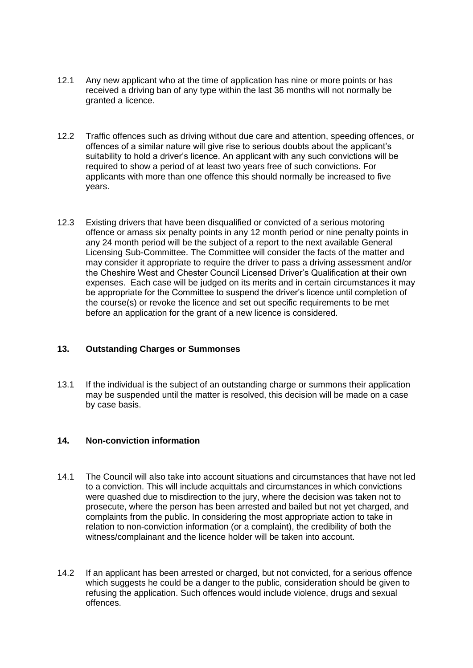- 12.1 Any new applicant who at the time of application has nine or more points or has received a driving ban of any type within the last 36 months will not normally be granted a licence.
- 12.2 Traffic offences such as driving without due care and attention, speeding offences, or offences of a similar nature will give rise to serious doubts about the applicant's suitability to hold a driver's licence. An applicant with any such convictions will be required to show a period of at least two years free of such convictions. For applicants with more than one offence this should normally be increased to five years.
- 12.3 Existing drivers that have been disqualified or convicted of a serious motoring offence or amass six penalty points in any 12 month period or nine penalty points in any 24 month period will be the subject of a report to the next available General Licensing Sub-Committee. The Committee will consider the facts of the matter and may consider it appropriate to require the driver to pass a driving assessment and/or the Cheshire West and Chester Council Licensed Driver's Qualification at their own expenses. Each case will be judged on its merits and in certain circumstances it may be appropriate for the Committee to suspend the driver's licence until completion of the course(s) or revoke the licence and set out specific requirements to be met before an application for the grant of a new licence is considered.

### **13. Outstanding Charges or Summonses**

13.1 If the individual is the subject of an outstanding charge or summons their application may be suspended until the matter is resolved, this decision will be made on a case by case basis.

#### **14. Non-conviction information**

- 14.1 The Council will also take into account situations and circumstances that have not led to a conviction. This will include acquittals and circumstances in which convictions were quashed due to misdirection to the jury, where the decision was taken not to prosecute, where the person has been arrested and bailed but not yet charged, and complaints from the public. In considering the most appropriate action to take in relation to non-conviction information (or a complaint), the credibility of both the witness/complainant and the licence holder will be taken into account.
- 14.2 If an applicant has been arrested or charged, but not convicted, for a serious offence which suggests he could be a danger to the public, consideration should be given to refusing the application. Such offences would include violence, drugs and sexual offences.